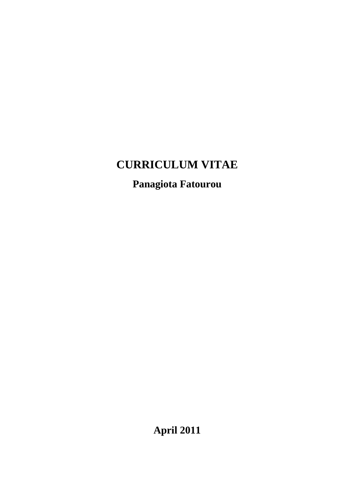# **CURRICULUM VITAE**

# **Panagiota Fatourou**

**April 2011**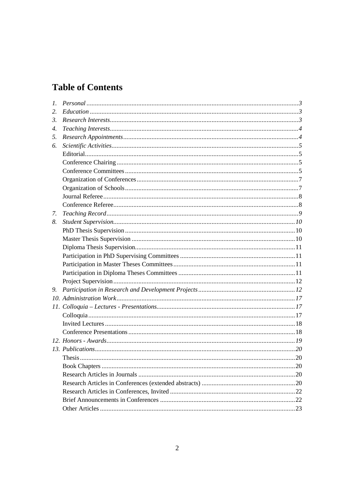# **Table of Contents**

| $l_{\cdot}$ |  |
|-------------|--|
| 2.          |  |
| 3.          |  |
| 4.          |  |
| 5.          |  |
| 6.          |  |
|             |  |
|             |  |
|             |  |
|             |  |
|             |  |
|             |  |
|             |  |
| 7.          |  |
| 8.          |  |
|             |  |
|             |  |
|             |  |
|             |  |
|             |  |
|             |  |
|             |  |
| 9.          |  |
|             |  |
|             |  |
|             |  |
|             |  |
|             |  |
|             |  |
|             |  |
|             |  |
|             |  |
|             |  |
|             |  |
|             |  |
|             |  |
|             |  |
|             |  |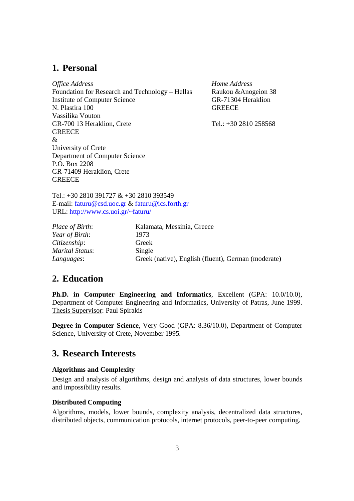## **1. Personal**

*Office Address* Foundation for Research and Technology – Hellas Institute of Computer Science N. Plastira 100 Vassilika Vouton GR-700 13 Heraklion, Crete **GREECE** & University of Crete Department of Computer Science P.O. Box 2208 GR-71409 Heraklion, Crete **GREECE** 

*Home Address* Raukou &Anogeion 38 GR-71304 Heraklion **GREECE** 

Tel.: +30 2810 258568

Tel.: +30 2810 391727 & +30 2810 393549 E-mail: faturu@csd.uoc.gr & faturu@ics.forth.gr URL: http://www.cs.uoi.gr/~faturu/

*Year of Birth*: 1973 *Citizenship*: Greek *Marital Status*: Single

*Place of Birth*: Kalamata, Messinia, Greece *Languages*: Greek (native), English (fluent), German (moderate)

# **2. Education**

**Ph.D. in Computer Engineering and Informatics**, Excellent (GPA: 10.0/10.0), Department of Computer Engineering and Informatics, University of Patras, June 1999. Thesis Supervisor: Paul Spirakis

**Degree in Computer Science**, Very Good (GPA: 8.36/10.0), Department of Computer Science, University of Crete, November 1995*.* 

### **3. Research Interests**

### **Algorithms and Complexity**

Design and analysis of algorithms, design and analysis of data structures, lower bounds and impossibility results.

### **Distributed Computing**

Algorithms, models, lower bounds, complexity analysis, decentralized data structures, distributed objects, communication protocols, internet protocols, peer-to-peer computing.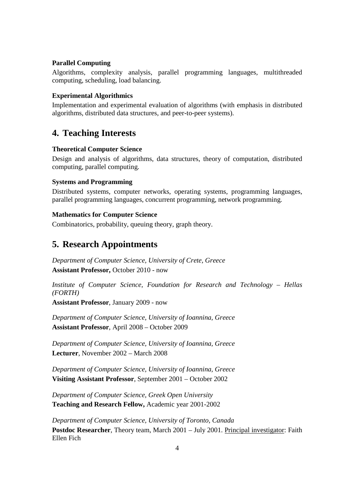#### **Parallel Computing**

Algorithms, complexity analysis, parallel programming languages, multithreaded computing, scheduling, load balancing.

### **Experimental Algorithmics**

Implementation and experimental evaluation of algorithms (with emphasis in distributed algorithms, distributed data structures, and peer-to-peer systems).

# **4. Teaching Interests**

### **Theoretical Computer Science**

Design and analysis of algorithms, data structures, theory of computation, distributed computing, parallel computing.

### **Systems and Programming**

Distributed systems, computer networks, operating systems, programming languages, parallel programming languages, concurrent programming, network programming.

### **Mathematics for Computer Science**

Combinatorics, probability, queuing theory, graph theory.

# **5. Research Appointments**

*Department of Computer Science, University of Crete, Greece*  **Assistant Professor,** October 2010 - now

*Institute of Computer Science, Foundation for Research and Technology – Hellas (FORTH)* 

**Assistant Professor**, January 2009 - now

*Department of Computer Science, University of Ioannina, Greece*  **Assistant Professor**, April 2008 – October 2009

*Department of Computer Science, University of Ioannina, Greece*  **Lecturer**, November 2002 – March 2008

*Department of Computer Science, University of Ioannina, Greece*  **Visiting Assistant Professor**, September 2001 – October 2002

*Department of Computer Science, Greek Open University*  **Teaching and Research Fellow,** Academic year 2001-2002

*Department of Computer Science, University of Toronto, Canada*  **Postdoc Researcher**, Theory team, March 2001 – July 2001. Principal investigator: Faith Ellen Fich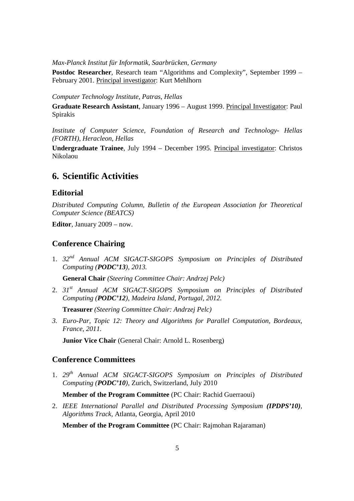*Max-Planck Institut für Informatik, Saarbrücken, Germany* 

**Postdoc Researcher**, Research team "Algorithms and Complexity", September 1999 – February 2001. Principal investigator: Kurt Mehlhorn

*Computer Technology Institute, Patras, Hellas* 

**Graduate Research Assistant**, January 1996 – August 1999. Principal Investigator: Paul Spirakis

*Institute of Computer Science, Foundation of Research and Technology- Hellas (FORTH), Heracleon, Hellas* 

**Undergraduate Trainee**, July 1994 – December 1995. Principal investigator: Christos Nikolaou

### **6. Scientific Activities**

### **Editorial**

*Distributed Computing Column, Bulletin of the European Association for Theoretical Computer Science (BEATCS)* 

**Editor**, January 2009 – now.

### **Conference Chairing**

1. *32nd Annual ACM SIGACT-SIGOPS Symposium on Principles of Distributed Computing (PODC'13), 2013.*

**General Chair** *(Steering Committee Chair: Andrzej Pelc)* 

2. *31st Annual ACM SIGACT-SIGOPS Symposium on Principles of Distributed Computing (PODC'12), Madeira Island, Portugal, 2012.*

**Treasurer** *(Steering Committee Chair: Andrzej Pelc)*

*3. Euro-Par, Topic 12: Theory and Algorithms for Parallel Computation, Bordeaux, France, 2011.* 

**Junior Vice Chair** (General Chair: Arnold L. Rosenberg)

#### **Conference Committees**

1. *29th Annual ACM SIGACT-SIGOPS Symposium on Principles of Distributed Computing (PODC'10),* Zurich, Switzerland, July 2010

**Member of the Program Committee** (PC Chair: Rachid Guerraoui)

2. *IEEE International Parallel and Distributed Processing Symposium (IPDPS'10), Algorithms Track,* Atlanta, Georgia, April 2010

**Member of the Program Committee** (PC Chair: Rajmohan Rajaraman)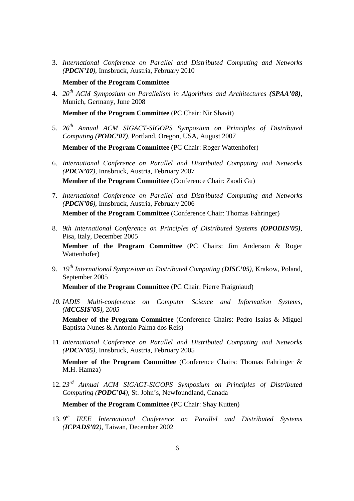3. *International Conference on Parallel and Distributed Computing and Networks (PDCN'10),* Innsbruck, Austria, February 2010

### **Member of the Program Committee**

4. *20th ACM Symposium on Parallelism in Algorithms and Architectures (SPAA'08)*, Munich, Germany, June 2008

**Member of the Program Committee** (PC Chair: Nir Shavit)

5. *26th Annual ACM SIGACT-SIGOPS Symposium on Principles of Distributed Computing (PODC'07),* Portland, Oregon, USA, August 2007

**Member of the Program Committee** (PC Chair: Roger Wattenhofer)

- 6. *International Conference on Parallel and Distributed Computing and Networks (PDCN'07),* Innsbruck, Austria, February 2007 **Member of the Program Committee** (Conference Chair: Zaodi Gu)
- 7. *International Conference on Parallel and Distributed Computing and Networks (PDCN'06),* Innsbruck, Austria, February 2006 **Member of the Program Committee** (Conference Chair: Thomas Fahringer)
- 8. *9th International Conference on Principles of Distributed Systems (OPODIS'05),* Pisa, Italy, December 2005

**Member of the Program Committee** (PC Chairs: Jim Anderson & Roger Wattenhofer)

9. *19th International Symposium on Distributed Computing (DISC'05),* Krakow, Poland, September 2005

**Member of the Program Committee** (PC Chair: Pierre Fraigniaud)

*10. IADIS Multi-conference on Computer Science and Information Systems, (MCCSIS'05),* 2*005* 

**Member of the Program Committee** (Conference Chairs: Pedro Isaías & Miguel Baptista Nunes & Antonio Palma dos Reis)

11. *International Conference on Parallel and Distributed Computing and Networks (PDCN'05),* Innsbruck, Austria, February 2005

**Member of the Program Committee** (Conference Chairs: Thomas Fahringer & M.H. Hamza)

12. *23rd Annual ACM SIGACT-SIGOPS Symposium on Principles of Distributed Computing (PODC'04),* St. John's, Newfoundland, Canada

**Member of the Program Committee** (PC Chair: Shay Kutten)

13.9<sup>th</sup> IEEE International Conference on Parallel and Distributed Systems *(ICPADS'02),* Taiwan, December 2002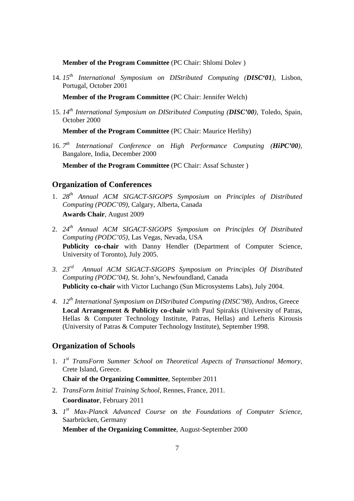**Member of the Program Committee** (PC Chair: Shlomi Dolev )

14. *15th International Symposium on DIStributed Computing (DISC'01),* Lisbon, Portugal, October 2001

**Member of the Program Committee** (PC Chair: Jennifer Welch)

15. *14th International Symposium on DIStributed Computing (DISC'00),* Toledo, Spain, October 2000

**Member of the Program Committee** (PC Chair: Maurice Herlihy)

16. *7 th International Conference on High Performance Computing (HiPC'00),*  Bangalore, India, December 2000

**Member of the Program Committee** (PC Chair: Assaf Schuster )

### **Organization of Conferences**

- 1. *28th Annual ACM SIGACT-SIGOPS Symposium on Principles of Distributed Computing (PODC'09)*, Calgary, Alberta, Canada **Awards Chair**, August 2009
- 2. *24th Annual ACM SIGACT-SIGOPS Symposium on Principles Of Distributed Computing (PODC'05),* Las Vegas, Nevada, USA **Publicity co-chair** with Danny Hendler (Department of Computer Science, University of Toronto), July 2005.
- *3. 23rd Annual ACM SIGACT-SIGOPS Symposium on Principles Of Distributed Computing (PODC'04),* St. John's, Newfoundland, Canada **Publicity co-chair** with Victor Luchango (Sun Microsystems Labs), July 2004.
- *4. 12th International Symposium on DIStributed Computing (DISC'98),* Andros, Greece **Local Arrangement & Publicity co-chair** with Paul Spirakis (University of Patras, Hellas & Computer Technology Institute, Patras, Hellas) and Lefteris Kirousis (University of Patras & Computer Technology Institute), September 1998.

### **Organization of Schools**

1. *1 st TransForm Summer School on Theoretical Aspects of Transactional Memory,*  Crete Island, Greece.

**Chair of the Organizing Committee**, September 2011

- 2. *TransForm Initial Training School,* Rennes, France, 2011. **Coordinator**, February 2011
- **3.** *1 st Max-Planck Advanced Course on the Foundations of Computer Science,* Saarbrücken, Germany

**Member of the Organizing Committee**, August-September 2000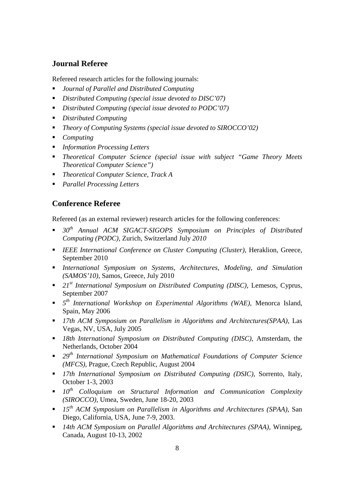### **Journal Referee**

Refereed research articles for the following journals:

- *Journal of Parallel and Distributed Computing*
- *Distributed Computing (special issue devoted to DISC'07)*
- *Distributed Computing (special issue devoted to PODC'07)*
- *Distributed Computing*
- *Theory of Computing Systems (special issue devoted to SIROCCO'02)*
- *Computing*
- *Information Processing Letters*
- *Theoretical Computer Science (special issue with subject "Game Theory Meets Theoretical Computer Science")*
- *Theoretical Computer Science, Track A*
- *Parallel Processing Letters*

### **Conference Referee**

Refereed (as an external reviewer) research articles for the following conferences:

- *30th Annual ACM SIGACT-SIGOPS Symposium on Principles of Distributed Computing (PODC),* Zurich, Switzerland July *2010*
- *IEEE International Conference on Cluster Computing (Cluster)*, Heraklion, Greece, September 2010
- *International Symposium on Systems, Architectures, Modeling, and Simulation (SAMOS'10),* Samos, Greece, July 2010
- *21st International Symposium on Distributed Computing (DISC)*, Lemesos, Cyprus, September 2007
- *5 th International Workshop on Experimental Algorithms (WAE)*, Menorca Island, Spain, May 2006
- *17th ACM Symposium on Parallelism in Algorithms and Architectures(SPAA)*, Las Vegas, NV, USA, July 2005
- *18th International Symposium on Distributed Computing (DISC),* Amsterdam, the Netherlands, October 2004
- *29th International Symposium on Mathematical Foundations of Computer Science (MFCS),* Prague, Czech Republic, August 2004
- *17th International Symposium on Distributed Computing (DSIC),* Sorrento, Italy, October 1-3, 2003
- *10th Colloquium on Structural Information and Communication Complexity (SIROCCO),* Umea, Sweden, June 18-20, 2003
- *15th ACM Symposium on Parallelism in Algorithms and Architectures (SPAA),* San Diego, California, USA, June 7-9, 2003.
- *14th ACM Symposium on Parallel Algorithms and Architectures (SPAA),* Winnipeg, Canada, August 10-13, 2002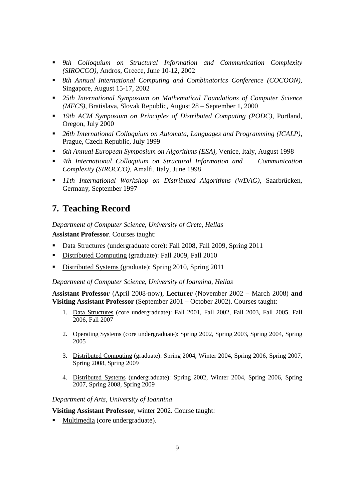- *9th Colloquium on Structural Information and Communication Complexity (SIROCCO),* Andros, Greece, June 10-12, 2002
- *8th Annual International Computing and Combinatorics Conference (COCOON),* Singapore, August 15-17, 2002
- *25th International Symposium on Mathematical Foundations of Computer Science (MFCS),* Bratislava, Slovak Republic, August 28 – September 1, 2000
- *19th ACM Symposium on Principles of Distributed Computing (PODC),* Portland, Oregon, July 2000
- *26th International Colloquium on Automata, Languages and Programming (ICALP),* Prague, Czech Republic, July 1999
- *6th Annual European Symposium on Algorithms (ESA),* Venice, Italy, August 1998
- *4th International Colloquium on Structural Information and Communication Complexity (SIROCCO),* Amalfi, Italy, June 1998
- *11th International Workshop on Distributed Algorithms (WDAG),* Saarbrücken, Germany, September 1997

# **7. Teaching Record**

*Department of Computer Science, University of Crete, Hellas* 

**Assistant Professor**. Courses taught:

- Data Structures (undergraduate core): Fall 2008, Fall 2009, Spring 2011
- Distributed Computing (graduate): Fall 2009, Fall 2010
- Distributed Systems (graduate): Spring 2010, Spring 2011

*Department of Computer Science, University of Ioannina, Hellas* 

**Assistant Professor** (April 2008-now), **Lecturer** (November 2002 – March 2008) **and Visiting Assistant Professor** (September 2001 – October 2002). Courses taught:

- 1. Data Structures (core undergraduate): Fall 2001, Fall 2002, Fall 2003, Fall 2005, Fall 2006, Fall 2007
- 2. Operating Systems (core undergraduate): Spring 2002, Spring 2003, Spring 2004, Spring 2005
- 3. Distributed Computing (graduate): Spring 2004, Winter 2004, Spring 2006, Spring 2007, Spring 2008, Spring 2009
- 4. Distributed Systems (undergraduate): Spring 2002, Winter 2004, Spring 2006, Spring 2007, Spring 2008, Spring 2009

*Department of Arts, University of Ioannina* 

**Visiting Assistant Professor**, winter 2002. Course taught:

Multimedia (core undergraduate).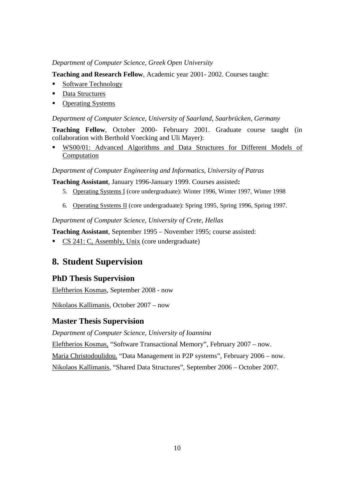#### *Department of Computer Science, Greek Open University*

**Teaching and Research Fellow**, Academic year 2001- 2002. Courses taught:

- **Software Technology**
- Data Structures
- Operating Systems

#### *Department of Computer Science, University of Saarland, Saarbrücken, Germany*

**Teaching Fellow**, October 2000- February 2001. Graduate course taught (in collaboration with Berthold Voecking and Uli Mayer):

 WS00/01: Advanced Algorithms and Data Structures for Different Models of Computation

*Department of Computer Engineering and Informatics, University of Patras* 

**Teaching Assistant**, January 1996-January 1999. Courses assisted**:**

- 5. Operating Systems I (core undergraduate): Winter 1996, Winter 1997, Winter 1998
- 6. Operating Systems II (core undergraduate): Spring 1995, Spring 1996, Spring 1997.

*Department of Computer Science, University of Crete, Hellas* 

**Teaching Assistant**, September 1995 – November 1995; course assisted:

CS 241: C, Assembly, Unix (core undergraduate)

# **8. Student Supervision**

### **PhD Thesis Supervision**

Eleftherios Kosmas, September 2008 - now

Nikolaos Kallimanis, October 2007 – now

### **Master Thesis Supervision**

*Department of Computer Science, University of Ioannina* 

Eleftherios Kosmas, "Software Transactional Memory", February 2007 – now.

Maria Christodoulidou. "Data Management in P2P systems", February 2006 – now.

Nikolaos Kallimanis, "Shared Data Structures", September 2006 – October 2007.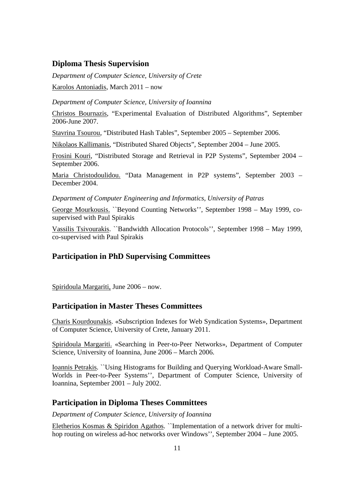### **Diploma Thesis Supervision**

*Department of Computer Science, University of Crete* Karolos Antoniadis, March 2011 – now

*Department of Computer Science, University of Ioannina* 

Christos Bournazis, "Experimental Evaluation of Distributed Algorithms", September 2006-June 2007.

Stavrina Tsourou, "Distributed Hash Tables", September 2005 – September 2006.

Nikolaos Kallimanis, "Distributed Shared Objects", September 2004 – June 2005.

Frosini Kouri, "Distributed Storage and Retrieval in P2P Systems", September 2004 – September 2006.

Maria Christodoulidou. "Data Management in P2P systems", September 2003 – December 2004.

*Department of Computer Engineering and Informatics, University of Patras* 

George Mourkousis. ``Beyond Counting Networks'', September 1998 – May 1999, cosupervised with Paul Spirakis

Vassilis Tsivourakis. ``Bandwidth Allocation Protocols'', September 1998 – May 1999, co-supervised with Paul Spirakis

### **Participation in PhD Supervising Committees**

Spiridoula Margariti, June 2006 – now.

### **Participation in Master Theses Committees**

Charis Kourdounakis. «Subscription Indexes for Web Syndication Systems», Department of Computer Science, University of Crete, January 2011.

Spiridoula Margariti. «Searching in Peer-to-Peer Networks», Department of Computer Science, University of Ioannina, June 2006 – March 2006.

Ioannis Petrakis. ``Using Histograms for Building and Querying Workload-Aware Small-Worlds in Peer-to-Peer Systems'', Department of Computer Science, University of Ioannina, September 2001 – July 2002.

### **Participation in Diploma Theses Committees**

*Department of Computer Science, University of Ioannina* 

Eletherios Kosmas & Spiridon Agathos. ``Implementation of a network driver for multihop routing on wireless ad-hoc networks over Windows'', September 2004 – June 2005.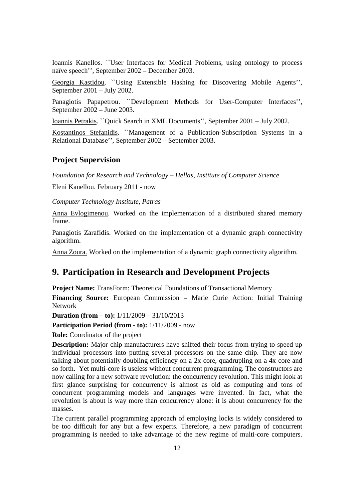Ioannis Kanellos. ``User Interfaces for Medical Problems, using ontology to process naïve speech'', September 2002 – December 2003.

Georgia Kastidou. ``Using Extensible Hashing for Discovering Mobile Agents'', September 2001 – July 2002.

Panagiotis Papapetrou. ``Development Methods for User-Computer Interfaces'', September 2002 – June 2003.

Ioannis Petrakis. ``Quick Search in XML Documents'', September 2001 – July 2002.

Kostantinos Stefanidis. ``Management of a Publication-Subscription Systems in a Relational Database'', September 2002 – September 2003.

### **Project Supervision**

*Foundation for Research and Technology – Hellas, Institute of Computer Science* 

Eleni Kanellou. February 2011 - now

*Computer Technology Institute, Patras* 

Anna Evlogimenou. Worked on the implementation of a distributed shared memory frame.

Panagiotis Zarafidis. Worked on the implementation of a dynamic graph connectivity algorithm.

Anna Zoura. Worked on the implementation of a dynamic graph connectivity algorithm.

# **9. Participation in Research and Development Projects**

**Project Name:** TransForm: Theoretical Foundations of Transactional Memory

**Financing Source:** European Commission – Marie Curie Action: Initial Training Network

**Duration (from – to):** 1/11/2009 – 31/10/2013

**Participation Period (from - to):** 1/11/2009 - now

**Role:** Coordinator of the project

**Description:** Major chip manufacturers have shifted their focus from trying to speed up individual processors into putting several processors on the same chip. They are now talking about potentially doubling efficiency on a 2x core, quadrupling on a 4x core and so forth. Yet multi-core is useless without concurrent programming. The constructors are now calling for a new software revolution: the concurrency revolution. This might look at first glance surprising for concurrency is almost as old as computing and tons of concurrent programming models and languages were invented. In fact, what the revolution is about is way more than concurrency alone: it is about concurrency for the masses.

The current parallel programming approach of employing locks is widely considered to be too difficult for any but a few experts. Therefore, a new paradigm of concurrent programming is needed to take advantage of the new regime of multi-core computers.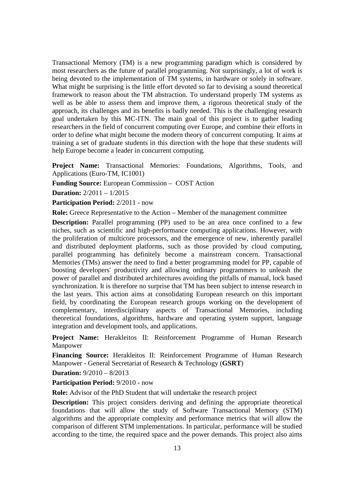Transactional Memory (TM) is a new programming paradigm which is considered by most researchers as the future of parallel programming. Not surprisingly, a lot of work is being devoted to the implementation of TM systems, in hardware or solely in software. What might be surprising is the little effort devoted so far to devising a sound theoretical framework to reason about the TM abstraction. To understand properly TM systems as well as be able to assess them and improve them, a rigorous theoretical study of the approach, its challenges and its benefits is badly needed. This is the challenging research goal undertaken by this MC-ITN. The main goal of this project is to gather leading researchers in the field of concurrent computing over Europe, and combine their efforts in order to define what might become the modern theory of concurrent computing. It aims at training a set of graduate students in this direction with the hope that these students will help Europe become a leader in concurrent computing.

Project Name: Transactional Memories: Foundations, Algorithms, Tools, and Applications (Euro-TM, IC1001)

**Funding Source:** European Commission – COST Action

**Duration:** 2/2011 – 1/2015

**Participation Period:** 2/2011 - now

**Role:** Greece Representative to the Action – Member of the management committee

**Description:** Parallel programming (PP) used to be an area once confined to a few niches, such as scientific and high-performance computing applications. However, with the proliferation of multicore processors, and the emergence of new, inherently parallel and distributed deployment platforms, such as those provided by cloud computing, parallel programming has definitely become a mainstream concern. Transactional Memories (TMs) answer the need to find a better programming model for PP, capable of boosting developers' productivity and allowing ordinary programmers to unleash the power of parallel and distributed architectures avoiding the pitfalls of manual, lock based synchronization. It is therefore no surprise that TM has been subject to intense research in the last years. This action aims at consolidating European research on this important field, by coordinating the European research groups working on the development of complementary, interdisciplinary aspects of Transactional Memories, including theoretical foundations, algorithms, hardware and operating system support, language integration and development tools, and applications.

**Project Name:** Herakleitos ΙΙ: Reinforcement Programme of Human Research Manpower

**Financing Source:** Herakleitos ΙΙ: Reinforcement Programme of Human Research Manpower - General Secretariat of Research & Technology (**GSRT**)

**Duration:** 9/2010 – 8/2013

**Participation Period:** 9/2010 - now

**Role:** Advisor of the PhD Student that will undertake the research project

**Description:** This project considers deriving and defining the appropriate theoretical foundations that will allow the study of Software Transactional Memory (STM) algorithms and the appropriate complexity and performance metrics that will allow the comparison of different STM implementations. In particular, performance will be studied according to the time, the required space and the power demands. This project also aims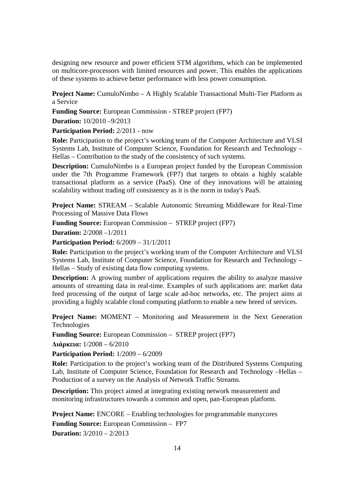designing new resource and power efficient STM algorithms, which can be implemented on multicore-processors with limited resources and power. This enables the applications of these systems to achieve better performance with less power consumption.

**Project Name:** CumuloNimbo – A Highly Scalable Transactional Multi-Tier Platform as a Service

**Funding Source:** European Commission - STREP project (FP7)

**Duration:** 10/2010 –9/2013

**Participation Period:** 2/2011 - now

**Role:** Participation to the project's working team of the Computer Architecture and VLSI Systems Lab, Institute of Computer Science, Foundation for Research and Technology – Hellas – Contribution to the study of the consistency of such systems.

**Description:** CumuloNimbo is a European project funded by the European Commission under the 7th Programme Framework (FP7) that targets to obtain a highly scalable transactional platform as a service (PaaS). One of they innovations will be attaining scalability without trading off consistency as it is the norm in today's PaaS.

**Project Name:** STREAM – Scalable Autonomic Streaming Middleware for Real-Time Processing of Massive Data Flows

**Funding Source:** European Commission – STREP project (FP7)

**Duration:** 2/2008 –1/2011

**Participation Period:** 6/2009 – 31/1/2011

**Role:** Participation to the project's working team of the Computer Architecture and VLSI Systems Lab, Institute of Computer Science, Foundation for Research and Technology – Hellas – Study of existing data flow computing systems.

**Description:** A growing number of applications requires the ability to analyze massive amounts of streaming data in real-time. Examples of such applications are: market data feed processing of the output of large scale ad-hoc networks, etc. The project aims at providing a highly scalable cloud computing platform to enable a new breed of services.

**Project Name:** MOMENT – Monitoring and Measurement in the Next Generation Technologies

**Funding Source:** European Commission – STREP project (FP7)

**∆ιάρκεια:** 1/2008 – 6/2010

**Participation Period:** 1/2009 – 6/2009

**Role:** Participation to the project's working team of the Distributed Systems Computing Lab, Institute of Computer Science, Foundation for Research and Technology –Hellas – Production of a survey on the Analysis of Network Traffic Streams.

**Description:** This project aimed at integrating existing network measurement and monitoring infrastructures towards a common and open, pan-European platform.

**Project Name:** ENCORE – Enabling technologies for programmable manycores **Funding Source:** European Commission – FP7 **Duration:** 3/2010 – 2/2013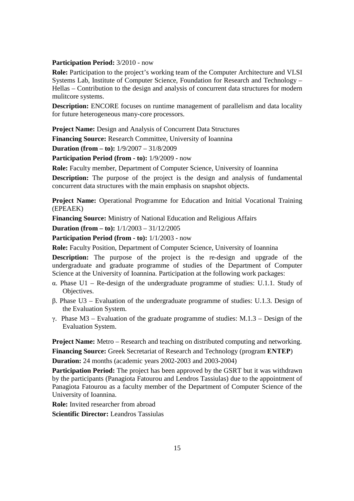#### **Participation Period:** 3/2010 - now

**Role:** Participation to the project's working team of the Computer Architecture and VLSI Systems Lab, Institute of Computer Science, Foundation for Research and Technology – Hellas – Contribution to the design and analysis of concurrent data structures for modern mulitcore systems.

**Description:** ENCORE focuses on runtime management of parallelism and data locality for future heterogeneous many-core processors.

**Project Name:** Design and Analysis of Concurrent Data Structures

**Financing Source:** Research Committee, University of Ioannina

**Duration (from – to):** 1/9/2007 – 31/8/2009

**Participation Period (from - to):** 1/9/2009 - now

**Role:** Faculty member, Department of Computer Science, University of Ioannina

**Description:** The purpose of the project is the design and analysis of fundamental concurrent data structures with the main emphasis on snapshot objects.

**Project Name:** Operational Programme for Education and Initial Vocational Training (EPEAEK)

**Financing Source:** Ministry of National Education and Religious Affairs

**Duration (from – to):** 1/1/2003 – 31/12/2005

**Participation Period (from - to):** 1/1/2003 - now

**Role:** Faculty Position, Department of Computer Science, University of Ioannina

**Description:** The purpose of the project is the re-design and upgrade of the undergraduate and graduate programme of studies of the Department of Computer Science at the University of Ioannina. Participation at the following work packages:

- α. Phase U1 Re-design of the undergraduate programme of studies: U.1.1. Study of Objectives.
- β. Phase U3 Evaluation of the undergraduate programme of studies: U.1.3. Design of the Evaluation System.
- γ. Phase Μ3 Evaluation of the graduate programme of studies: Μ.1.3 Design of the Evaluation System.

**Project Name:** Metro – Research and teaching on distributed computing and networking.

**Financing Source:** Greek Secretariat of Research and Technology (program **ΕΝΤΕΡ**)

**Duration:** 24 months (academic years 2002-2003 and 2003-2004)

**Participation Period:** The project has been approved by the GSRT but it was withdrawn by the participants (Panagiota Fatourou and Lendros Tassiulas) due to the appointment of Panagiota Fatourou as a faculty member of the Department of Computer Science of the University of Ioannina.

**Role:** Invited researcher from abroad

**Scientific Director:** Leandros Tassiulas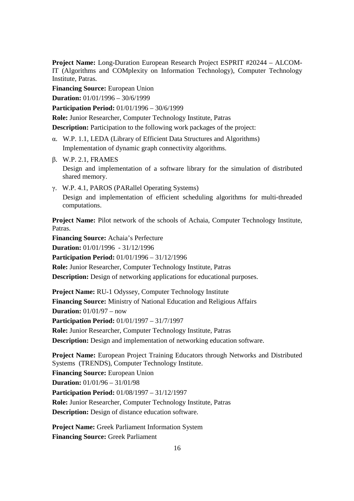**Project Name:** Long-Duration European Research Project ESPRIT #20244 – ALCOM-IT (Algorithms and COMplexity on Information Technology), Computer Technology Institute, Patras.

**Financing Source:** European Union

**Duration:** 01/01/1996 – 30/6/1999

**Participation Period:** 01/01/1996 – 30/6/1999

**Role:** Junior Researcher, Computer Technology Institute, Patras

**Description:** Participation to the following work packages of the project:

- α. W.P. 1.1, LEDA (Library of Efficient Data Structures and Algorithms) Implementation of dynamic graph connectivity algorithms.
- β. W.P. 2.1, FRAMES

Design and implementation of a software library for the simulation of distributed shared memory.

γ. W.P. 4.1, PAROS (PARallel Operating Systems)

Design and implementation of efficient scheduling algorithms for multi-threaded computations.

**Project Name:** Pilot network of the schools of Achaia, Computer Technology Institute, Patras.

**Financing Source:** Achaia's Perfecture

**Duration:** 01/01/1996 - 31/12/1996

**Participation Period:** 01/01/1996 – 31/12/1996

**Role:** Junior Researcher, Computer Technology Institute, Patras

**Description:** Design of networking applications for educational purposes.

**Project Name:** RU-1 Odyssey, Computer Technology Institute **Financing Source:** Ministry of National Education and Religious Affairs **Duration:** 01/01/97 – now

**Participation Period:** 01/01/1997 – 31/7/1997

**Role:** Junior Researcher, Computer Technology Institute, Patras

**Description:** Design and implementation of networking education software.

**Project Name:** European Project Training Educators through Networks and Distributed Systems (TRENDS), Computer Technology Institute. **Financing Source:** European Union **Duration:** 01/01/96 – 31/01/98 **Participation Period:** 01/08/1997 – 31/12/1997 **Role:** Junior Researcher, Computer Technology Institute, Patras **Description:** Design of distance education software.

**Project Name:** Greek Parliament Information System **Financing Source:** Greek Parliament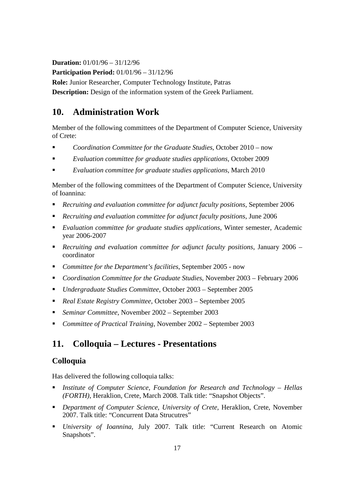**Duration:** 01/01/96 – 31/12/96

**Participation Period:** 01/01/96 – 31/12/96

**Role:** Junior Researcher, Computer Technology Institute, Patras

**Description:** Design of the information system of the Greek Parliament.

# **10. Administration Work**

Member of the following committees of the Department of Computer Science, University of Crete:

- *Coordination Committee for the Graduate Studies*, October 2010 now
- *Evaluation committee for graduate studies applications,* October 2009
- *Evaluation committee for graduate studies applications,* March 2010

Member of the following committees of the Department of Computer Science, University of Ioannina:

- *Recruiting and evaluation committee for adjunct faculty positions*, September 2006
- *Recruiting and evaluation committee for adjunct faculty positions*, June 2006
- *Evaluation committee for graduate studies applications*, Winter semester, Academic year 2006-2007
- *Recruiting and evaluation committee for adjunct faculty positions*, January 2006 coordinator
- *Committee for the Department's facilities*, September 2005 now
- *Coordination Committee for the Graduate Studies*, November 2003 February 2006
- *Undergraduate Studies Committee*, October 2003 September 2005
- *Real Estate Registry Committee*, October 2003 September 2005
- *Seminar Committee*, November 2002 September 2003
- *Committee of Practical Training*, November 2002 September 2003

# **11. Colloquia – Lectures - Presentations**

### **Colloquia**

Has delivered the following colloquia talks:

- *Institute of Computer Science, Foundation for Research and Technology Hellas (FORTH)*, Heraklion, Crete, March 2008. Talk title: "Snapshot Objects".
- **PEDEPARTMENT PEDETECH COMPUTER Science, University of Crete, Heraklion, Crete, November** 2007. Talk title: "Concurrent Data Strucutres"
- *University of Ioannina,* July 2007. Talk title: "Current Research on Atomic Snapshots".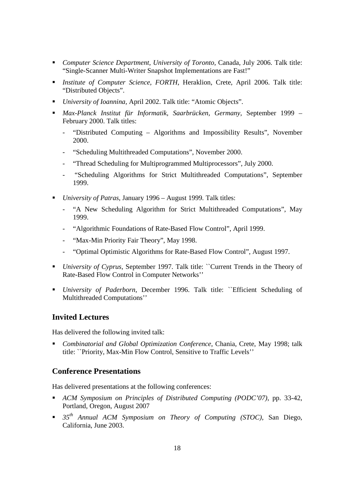- *Computer Science Department, University of Toronto,* Canada, July 2006. Talk title: "Single-Scanner Multi-Writer Snapshot Implementations are Fast!"
- *Institute of Computer Science, FORTH*, Heraklion, Crete, April 2006. Talk title: "Distributed Objects".
- *University of Ioannina, April 2002. Talk title: "Atomic Objects".*
- *Max-Planck Institut für Informatik, Saarbrücken, Germany*, September 1999 February 2000. Talk titles:
	- "Distributed Computing Algorithms and Impossibility Results", November 2000.
	- "Scheduling Multithreaded Computations", November 2000.
	- "Thread Scheduling for Multiprogrammed Multiprocessors", July 2000.
	- "Scheduling Algorithms for Strict Multithreaded Computations", September 1999.
- *University of Patras*, January 1996 August 1999*.* Talk titles:
	- "A New Scheduling Algorithm for Strict Multithreaded Computations", May 1999.
	- "Algorithmic Foundations of Rate-Based Flow Control", April 1999.
	- "Max-Min Priority Fair Theory", May 1998.
	- "Optimal Optimistic Algorithms for Rate-Based Flow Control", August 1997.
- *University of Cyprus*, September 1997. Talk title: ``Current Trends in the Theory of Rate-Based Flow Control in Computer Networks''
- *University of Paderborn*, December 1996. Talk title: ``Efficient Scheduling of Multithreaded Computations''

### **Invited Lectures**

Has delivered the following invited talk:

 *Combinatorial and Global Optimization Conference*, Chania, Crete, May 1998; talk title: ``Priority, Max-Min Flow Control, Sensitive to Traffic Levels''

### **Conference Presentations**

Has delivered presentations at the following conferences:

- *ACM Symposium on Principles of Distributed Computing (PODC'07)*, pp. 33-42, Portland, Oregon, August 2007
- *35th Annual ACM Symposium on Theory of Computing (STOC)*, San Diego, California, June 2003.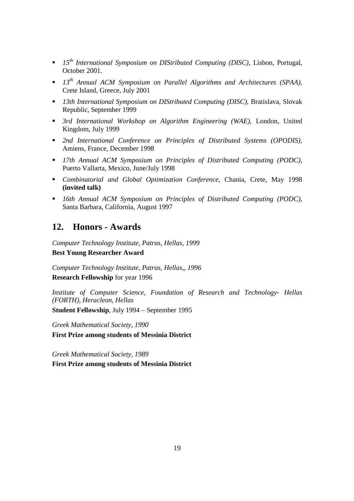- *15th International Symposium on DIStributed Computing (DISC)*, Lisbon, Portugal, October 2001.
- *13th Annual ACM Symposium on Parallel Algorithms and Architectures (SPAA)*, Crete Island, Greece, July 2001
- *13th International Symposium on DIStributed Computing (DISC)*, Bratislava, Slovak Republic, September 1999
- *3rd International Workshop on Algorithm Engineering (WAE)*, London, United Kingdom, July 1999
- *2nd International Conference on Principles of Distributed Systems (OPODIS),* Amiens, France, December 1998
- *17th Annual ACM Symposium on Principles of Distributed Computing (PODC)*, Puerto Vallarta, Mexico, June/July 1998
- *Combinatorial and Global Optimization Conference*, Chania, Crete, May 1998 **(invited talk)**
- *16th Annual ACM Symposium on Principles of Distributed Computing (PODC)*, Santa Barbara, California, August 1997

# **12. Honors - Awards**

*Computer Technology Institute, Patras, Hellas, 1999* **Best Young Researcher Award** 

*Computer Technology Institute, Patras, Hellas,, 1996*  **Research Fellowship** for year 1996

*Institute of Computer Science, Foundation of Research and Technology- Hellas (FORTH), Heracleon, Hellas* 

**Student Fellowship**, July 1994 – September 1995

*Greek Mathematical Society, 1990* 

**First Prize among students of Messinia District** 

*Greek Mathematical Society, 1989* 

**First Prize among students of Messinia District**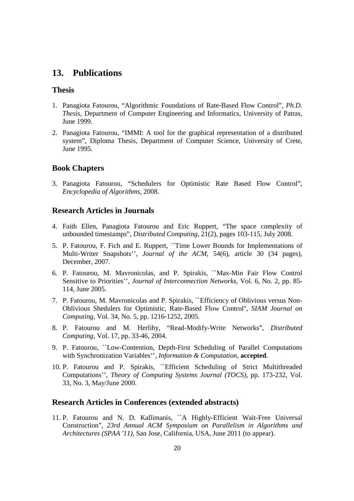### **13. Publications**

#### **Thesis**

- 1. Panagiota Fatourou, "Algorithmic Foundations of Rate-Based Flow Control", *Ph.D. Thesis*, Department of Computer Engineering and Informatics, University of Patras, June 1999.
- 2. Panagiota Fatourou, "IMMI: A tool for the graphical representation of a distributed system", Diploma Thesis, Department of Computer Science, University of Crete, June 1995.

### **Book Chapters**

3. Panagiota Fatourou, "Schedulers for Optimistic Rate Based Flow Control", *Encyclopedia of Algorithms*, 2008.

### **Research Articles in Journals**

- 4. Faith Ellen, Panagiota Fatourou and Eric Ruppert, "The space complexity of unbounded timestamps"*, Distributed Computing*, 21(2), pages 103-115, July 2008.
- 5. P. Fatourou, F. Fich and E. Ruppert, ``Time Lower Bounds for Implementations of Multi-Writer Snapshots'', *Journal of the ACM*, 54(6), article 30 (34 pages), December, 2007.
- 6. P. Fatourou, M. Mavronicolas, and P. Spirakis, ``Max-Min Fair Flow Control Sensitive to Priorities'', *Journal of Interconnection Networks,* Vol. 6, No. 2, pp. 85- 114, June 2005.
- 7. P. Fatourou, M. Mavronicolas and P. Spirakis, ``Efficiency of Oblivious versus Non-Oblivious Shedulers for Optimistic, Rate-Based Flow Control'', *SIAM Journal on Computing,* Vol. 34, No. 5, pp. 1216-1252, 2005.
- 8. P. Fatourou and M. Herlihy, "Read-Modify-Write Networks", *Distributed Computing*, Vol. 17, pp. 33-46, 2004.
- 9. P. Fatourou, ``Low-Contention, Depth-First Scheduling of Parallel Computations with Synchronization Variables'', *Information & Computation*, **accepted**.
- 10. P. Fatourou and P. Spirakis, ``Efficient Scheduling of Strict Multithreaded Computations'', *Theory of Computing Systems Journal (TOCS)*, pp. 173-232, Vol. 33, No. 3, May/June 2000.

### **Research Articles in Conferences (extended abstracts)**

11. P. Fatourou and N. D. Kallimanis, ``A Highly-Efficient Wait-Free Universal Construction", *23rd Annual ACM Symposium on Parallelism in Algorithms and Architectures (SPAA '11),* San Jose, California, USA, June 2011 (to appear).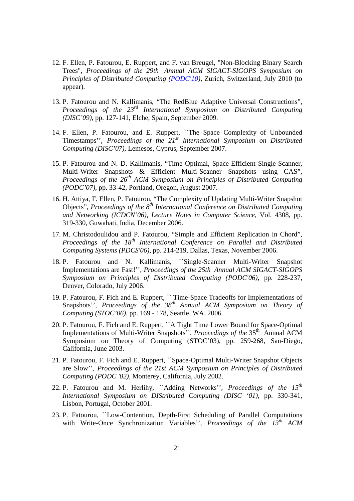- 12. F. Ellen, P. Fatourou, E. Ruppert, and F. van Breugel, "Non-Blocking Binary Search Trees", *Proceedings of the 29th Annual ACM SIGACT-SIGOPS Symposium on Principles of Distributed Computing (PODC'10)*, Zurich, Switzerland, July 2010 (to appear).
- 13. P. Fatourou and N. Kallimanis, "The RedBlue Adaptive Universal Constructions", *Proceedings of the 23rd International Symposium on Distributed Computing (DISC'09),* pp. 127-141, Elche, Spain, September 2009.
- 14. F. Ellen, P. Fatourou, and E. Ruppert, ``The Space Complexity of Unbounded Timestamps'', *Proceedings of the 21st International Symposium on Distributed Computing (DISC'07)*, Lemesos, Cyprus, September 2007.
- 15. P. Fatourou and N. D. Kallimanis, "Time Optimal, Space-Efficient Single-Scanner, Multi-Writer Snapshots & Efficient Multi-Scanner Snapshots using CAS", *Proceedings of the 26th ACM Symposium on Principles of Distributed Computing (PODC'07)*, pp. 33-42, Portland, Oregon, August 2007.
- 16. H. Attiya, F. Ellen, P. Fatourou, "The Complexity of Updating Multi-Writer Snapshot Objects", *Proceedings of the 8th International Conference on Distributed Computing and Networking (ICDCN'06)*, *Lecture Notes in Computer Science*, Vol. 4308, pp. 319-330, Guwahati, India, December 2006.
- 17. M. Christodoulidou and P. Fatourou, "Simple and Efficient Replication in Chord", *Proceedings of the 18th International Conference on Parallel and Distributed Computing Systems (PDCS'06)*, pp. 214-219, Dallas, Texas, November 2006.
- 18. P. Fatourou and N. Kallimanis, ``Single-Scanner Multi-Writer Snapshot Implementations are Fast!'', *Proceedings of the 25th Annual ACM SIGACT-SIGOPS Symposium on Principles of Distributed Computing (PODC'06),* pp. 228-237, Denver, Colorado, July 2006.
- 19. P. Fatourou, F. Fich and E. Ruppert, `` Time-Space Tradeoffs for Implementations of Snapshots'', *Proceedings of the 38<sup>th</sup> Annual ACM Symposium on Theory of Computing (STOC'06)*, pp. 169 - 178, Seattle, WA, 2006.
- 20. P. Fatourou, F. Fich and E. Ruppert, ``A Tight Time Lower Bound for Space-Optimal Implementations of Multi-Writer Snapshots'', *Proceedings of the* 35<sup>th</sup> Annual ACM Symposium on Theory of Computing (STOC'03), pp. 259-268, San-Diego, California, June 2003.
- 21. P. Fatourou, F. Fich and E. Ruppert, ``Space-Optimal Multi-Writer Snapshot Objects are Slow'', *Proceedings of the 21st ACM Symposium on Principles of Distributed Computing (PODC '02)*, Monterey, California, July 2002.
- 22. P. Fatourou and M. Herlihy, ``Adding Networks'', *Proceedings of the 15th International Symposium on DIStributed Computing (DISC '01),* pp. 330-341, Lisbon, Portugal, October 2001.
- 23. P. Fatourou, ``Low-Contention, Depth-First Scheduling of Parallel Computations with Write-Once Synchronization Variables'', *Proceedings of the 13th ACM*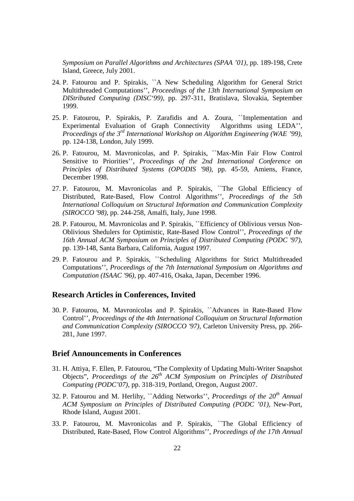*Symposium on Parallel Algorithms and Architectures (SPAA '01),* pp. 189-198, Crete Island, Greece, July 2001.

- 24. P. Fatourou and P. Spirakis, ``A New Scheduling Αlgorithm for General Strict Multithreaded Computations'', *Proceedings of the 13th International Symposium on DIStributed Computing (DISC'99),* pp. 297-311, Bratislava, Slovakia, September 1999.
- 25. P. Fatourou, P. Spirakis, P. Zarafidis and A. Zoura, ``Implementation and Experimental Evaluation of Graph Connectivity Algorithms using LEDA'', *Proceedings of the 3rd International Workshop on Algorithm Engineering (WAE '99),* pp. 124-138, London, July 1999.
- 26. P. Fatourou, M. Mavronicolas, and P. Spirakis, ``Max-Min Fair Flow Control Sensitive to Priorities'', *Proceedings of the 2nd International Conference on Principles of Distributed Systems (OPODIS '98),* pp. 45-59, Amiens, France, December 1998.
- 27. P. Fatourou, M. Mavronicolas and P. Spirakis, ``The Global Efficiency of Distributed, Rate-Based, Flow Control Algorithms'', *Proceedings of the 5th International Colloquium on Structural Information and Communication Complexity (SIROCCO '98),* pp. 244-258, Amalfi, Italy, June 1998.
- 28. P. Fatourou, M. Mavronicolas and P. Spirakis, ``Efficiency of Oblivious versus Non-Oblivious Shedulers for Optimistic, Rate-Based Flow Control'', *Proceedings of the 16th Annual ACM Symposium on Principles of Distributed Computing (PODC '97),*  pp. 139-148, Santa Barbara, California, August 1997.
- 29. P. Fatourou and P. Spirakis, ``Scheduling Algorithms for Strict Multithreaded Computations'', *Proceedings of the 7th International Symposium on Algorithms and Computation (ISAAC '96),* pp. 407-416, Osaka, Japan, December 1996.

#### **Research Articles in Conferences, Invited**

30. P. Fatourou, M. Mavronicolas and P. Spirakis, ``Advances in Rate-Based Flow Control'', *Proceedings of the 4th International Colloquium on Structural Information and Communication Complexity (SIROCCO '97),* Carleton University Press, pp. 266- 281, June 1997.

### **Brief Announcements in Conferences**

- 31. H. Attiya, F. Ellen, P. Fatourou, "The Complexity of Updating Multi-Writer Snapshot Objects", *Proceedings of the 26th ACM Symposium on Principles of Distributed Computing (PODC'07)*, pp. 318-319, Portland, Oregon, August 2007.
- 32. P. Fatourou and M. Herlihy, ``Adding Networks'', *Proceedings of the 20th Annual ACM Symposium on Principles of Distributed Computing (PODC '01),* New-Port, Rhode Island, August 2001.
- 33. P. Fatourou, M. Mavronicolas and P. Spirakis, ``The Global Efficiency of Distributed, Rate-Based, Flow Control Algorithms'', *Proceedings of the 17th Annual*